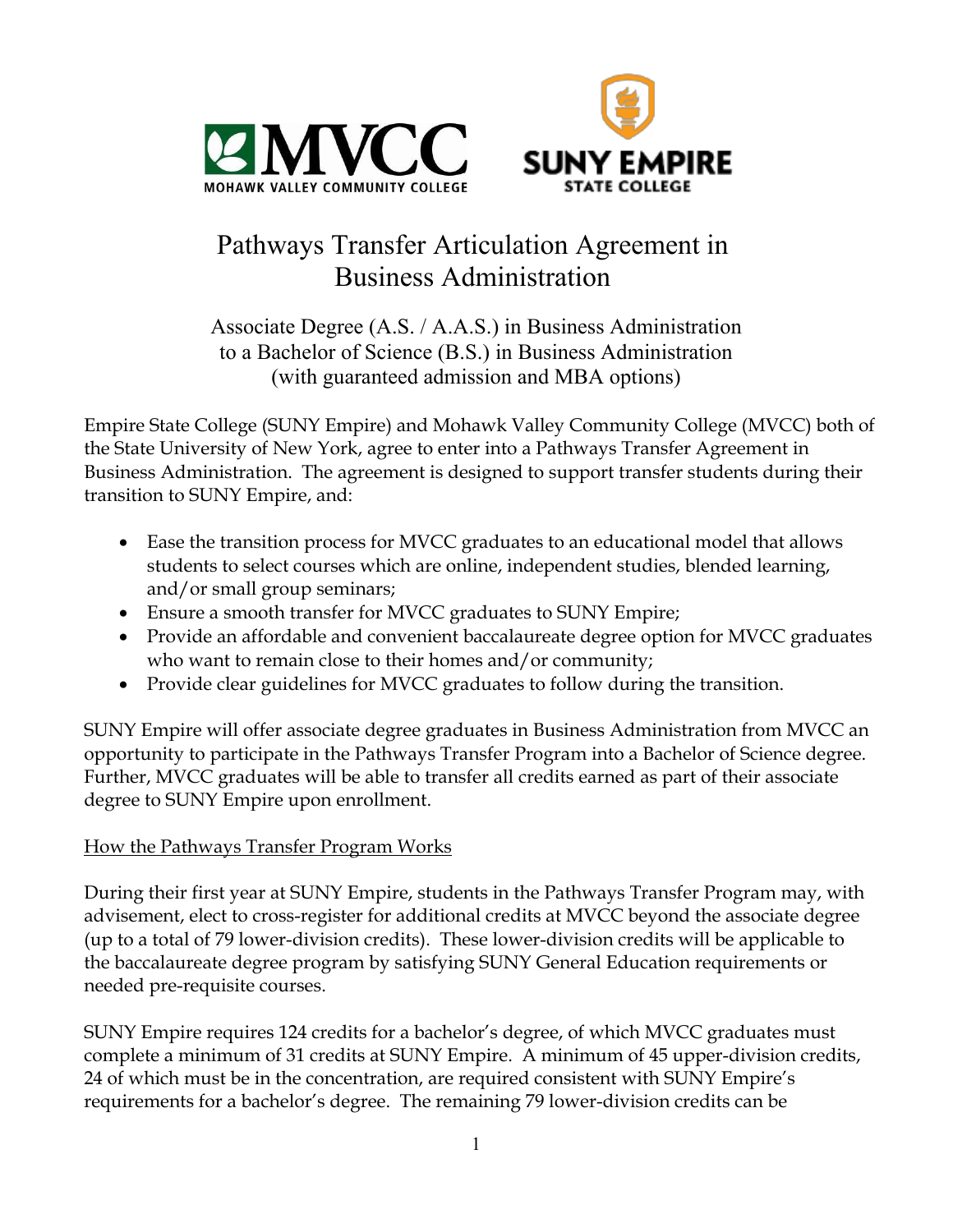



# Pathways Transfer Articulation Agreement in Business Administration

Associate Degree (A.S. / A.A.S.) in Business Administration to a Bachelor of Science (B.S.) in Business Administration (with guaranteed admission and MBA options)

Empire State College (SUNY Empire) and Mohawk Valley Community College (MVCC) both of the State University of New York, agree to enter into a Pathways Transfer Agreement in Business Administration. The agreement is designed to support transfer students during their transition to SUNY Empire, and:

- Ease the transition process for MVCC graduates to an educational model that allows students to select courses which are online, independent studies, blended learning, and/or small group seminars;
- Ensure a smooth transfer for MVCC graduates to SUNY Empire;
- Provide an affordable and convenient baccalaureate degree option for MVCC graduates who want to remain close to their homes and/or community;
- Provide clear guidelines for MVCC graduates to follow during the transition.

SUNY Empire will offer associate degree graduates in Business Administration from MVCC an opportunity to participate in the Pathways Transfer Program into a Bachelor of Science degree. Further, MVCC graduates will be able to transfer all credits earned as part of their associate degree to SUNY Empire upon enrollment.

# How the Pathways Transfer Program Works

During their first year at SUNY Empire, students in the Pathways Transfer Program may, with advisement, elect to cross-register for additional credits at MVCC beyond the associate degree (up to a total of 79 lower-division credits). These lower-division credits will be applicable to the baccalaureate degree program by satisfying SUNY General Education requirements or needed pre-requisite courses.

SUNY Empire requires 124 credits for a bachelor's degree, of which MVCC graduates must complete a minimum of 31 credits at SUNY Empire. A minimum of 45 upper-division credits, 24 of which must be in the concentration, are required consistent with SUNY Empire's requirements for a bachelor's degree. The remaining 79 lower-division credits can be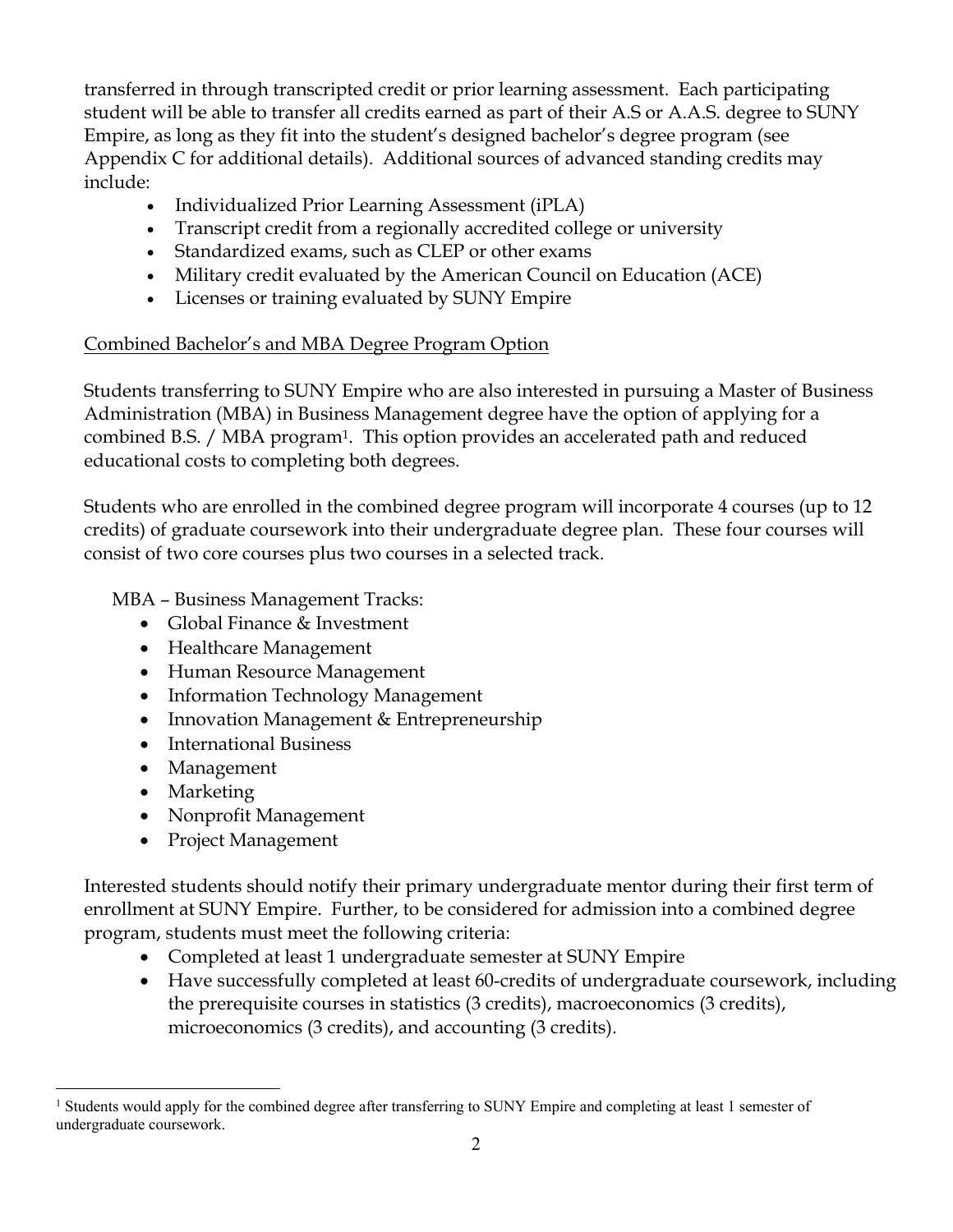transferred in through transcripted credit or prior learning assessment. Each participating student will be able to transfer all credits earned as part of their A.S or A.A.S. degree to SUNY Empire, as long as they fit into the student's designed bachelor's degree program (see Appendix C for additional details). Additional sources of advanced standing credits may include:

- Individualized Prior Learning Assessment (iPLA)
- Transcript credit from a regionally accredited college or university
- Standardized exams, such as CLEP or other exams
- Military credit evaluated by the American Council on Education (ACE)
- Licenses or training evaluated by SUNY Empire

# Combined Bachelor's and MBA Degree Program Option

Students transferring to SUNY Empire who are also interested in pursuing a Master of Business Administration (MBA) in Business Management degree have the option of applying for a combined B.S. / MBA program1. This option provides an accelerated path and reduced educational costs to completing both degrees.

Students who are enrolled in the combined degree program will incorporate 4 courses (up to 12 credits) of graduate coursework into their undergraduate degree plan. These four courses will consist of two core courses plus two courses in a selected track.

MBA – Business Management Tracks:

- Global Finance & Investment
- Healthcare Management
- Human Resource Management
- Information Technology Management
- Innovation Management & Entrepreneurship
- International Business
- Management
- Marketing
- Nonprofit Management
- Project Management

Interested students should notify their primary undergraduate mentor during their first term of enrollment at SUNY Empire. Further, to be considered for admission into a combined degree program, students must meet the following criteria:

- Completed at least 1 undergraduate semester at SUNY Empire
- Have successfully completed at least 60-credits of undergraduate coursework, including the prerequisite courses in statistics (3 credits), macroeconomics (3 credits), microeconomics (3 credits), and accounting (3 credits).

<sup>&</sup>lt;sup>1</sup> Students would apply for the combined degree after transferring to SUNY Empire and completing at least 1 semester of undergraduate coursework.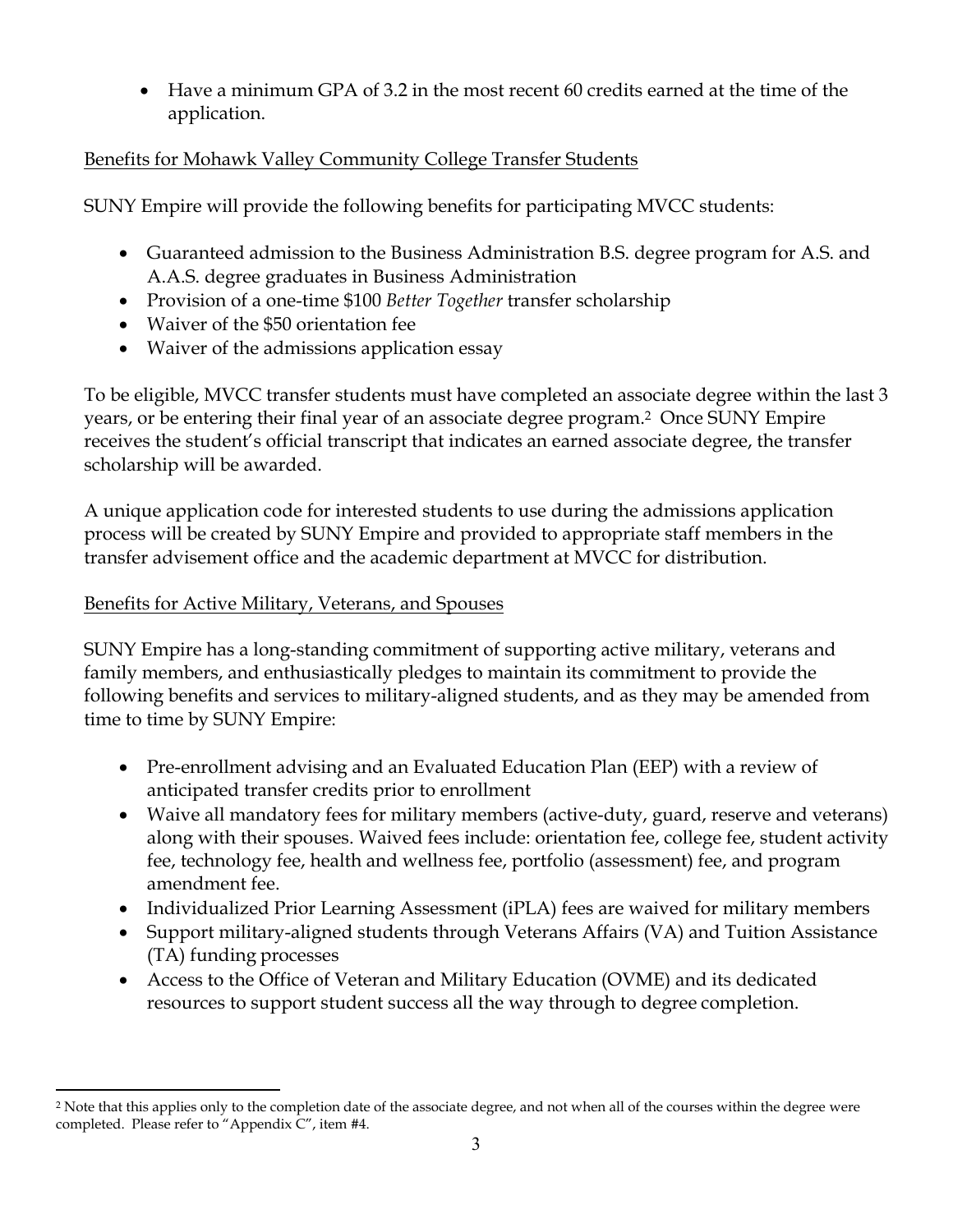• Have a minimum GPA of 3.2 in the most recent 60 credits earned at the time of the application.

# Benefits for Mohawk Valley Community College Transfer Students

SUNY Empire will provide the following benefits for participating MVCC students:

- Guaranteed admission to the Business Administration B.S. degree program for A.S. and A.A.S. degree graduates in Business Administration
- Provision of a one-time \$100 *Better Together* transfer scholarship
- Waiver of the \$50 orientation fee
- Waiver of the admissions application essay

To be eligible, MVCC transfer students must have completed an associate degree within the last 3 years, or be entering their final year of an associate degree program.2 Once SUNY Empire receives the student's official transcript that indicates an earned associate degree, the transfer scholarship will be awarded.

A unique application code for interested students to use during the admissions application process will be created by SUNY Empire and provided to appropriate staff members in the transfer advisement office and the academic department at MVCC for distribution.

# Benefits for Active Military, Veterans, and Spouses

SUNY Empire has a long-standing commitment of supporting active military, veterans and family members, and enthusiastically pledges to maintain its commitment to provide the following benefits and services to military-aligned students, and as they may be amended from time to time by SUNY Empire:

- Pre-enrollment advising and an Evaluated Education Plan (EEP) with a review of anticipated transfer credits prior to enrollment
- Waive all mandatory fees for military members (active-duty, guard, reserve and veterans) along with their spouses. Waived fees include: orientation fee, college fee, student activity fee, technology fee, health and wellness fee, portfolio (assessment) fee, and program amendment fee.
- Individualized Prior Learning Assessment (iPLA) fees are waived for military members
- Support military-aligned students through Veterans Affairs (VA) and Tuition Assistance (TA) funding processes
- Access to the Office of Veteran and Military Education (OVME) and its dedicated resources to support student success all the way through to degree completion.

 $\overline{a}$ <sup>2</sup> Note that this applies only to the completion date of the associate degree, and not when all of the courses within the degree were completed. Please refer to "Appendix C", item #4.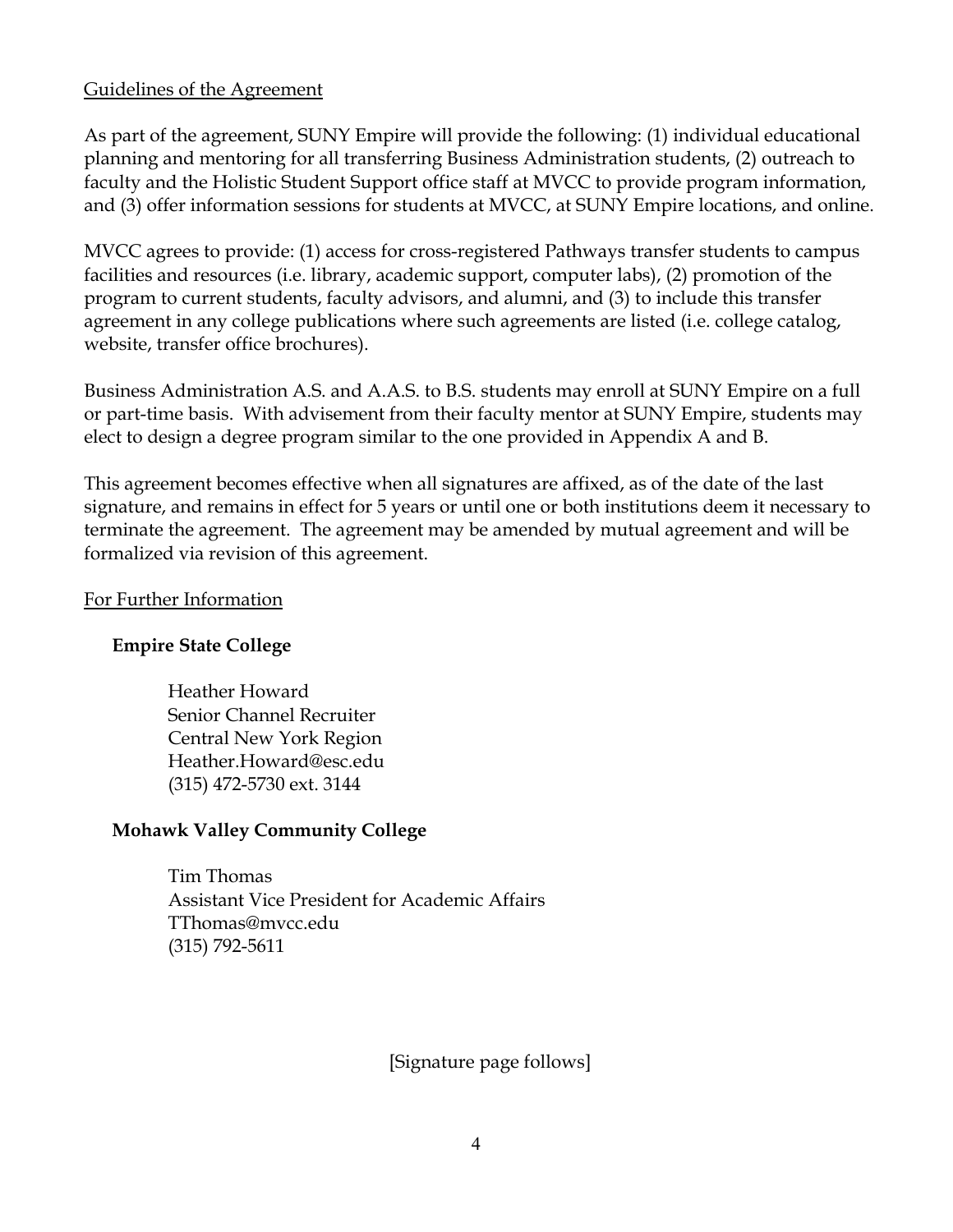## Guidelines of the Agreement

As part of the agreement, SUNY Empire will provide the following: (1) individual educational planning and mentoring for all transferring Business Administration students, (2) outreach to faculty and the Holistic Student Support office staff at MVCC to provide program information, and (3) offer information sessions for students at MVCC, at SUNY Empire locations, and online.

MVCC agrees to provide: (1) access for cross-registered Pathways transfer students to campus facilities and resources (i.e. library, academic support, computer labs), (2) promotion of the program to current students, faculty advisors, and alumni, and (3) to include this transfer agreement in any college publications where such agreements are listed (i.e. college catalog, website, transfer office brochures).

Business Administration A.S. and A.A.S. to B.S. students may enroll at SUNY Empire on a full or part-time basis. With advisement from their faculty mentor at SUNY Empire, students may elect to design a degree program similar to the one provided in Appendix A and B.

This agreement becomes effective when all signatures are affixed, as of the date of the last signature, and remains in effect for 5 years or until one or both institutions deem it necessary to terminate the agreement. The agreement may be amended by mutual agreement and will be formalized via revision of this agreement.

#### For Further Information

#### **Empire State College**

Heather Howard Senior Channel Recruiter Central New York Region Heather.Howard@esc.edu (315) 472-5730 ext. 3144

#### **Mohawk Valley Community College**

Tim Thomas Assistant Vice President for Academic Affairs TThomas@mvcc.edu (315) 792-5611

[Signature page follows]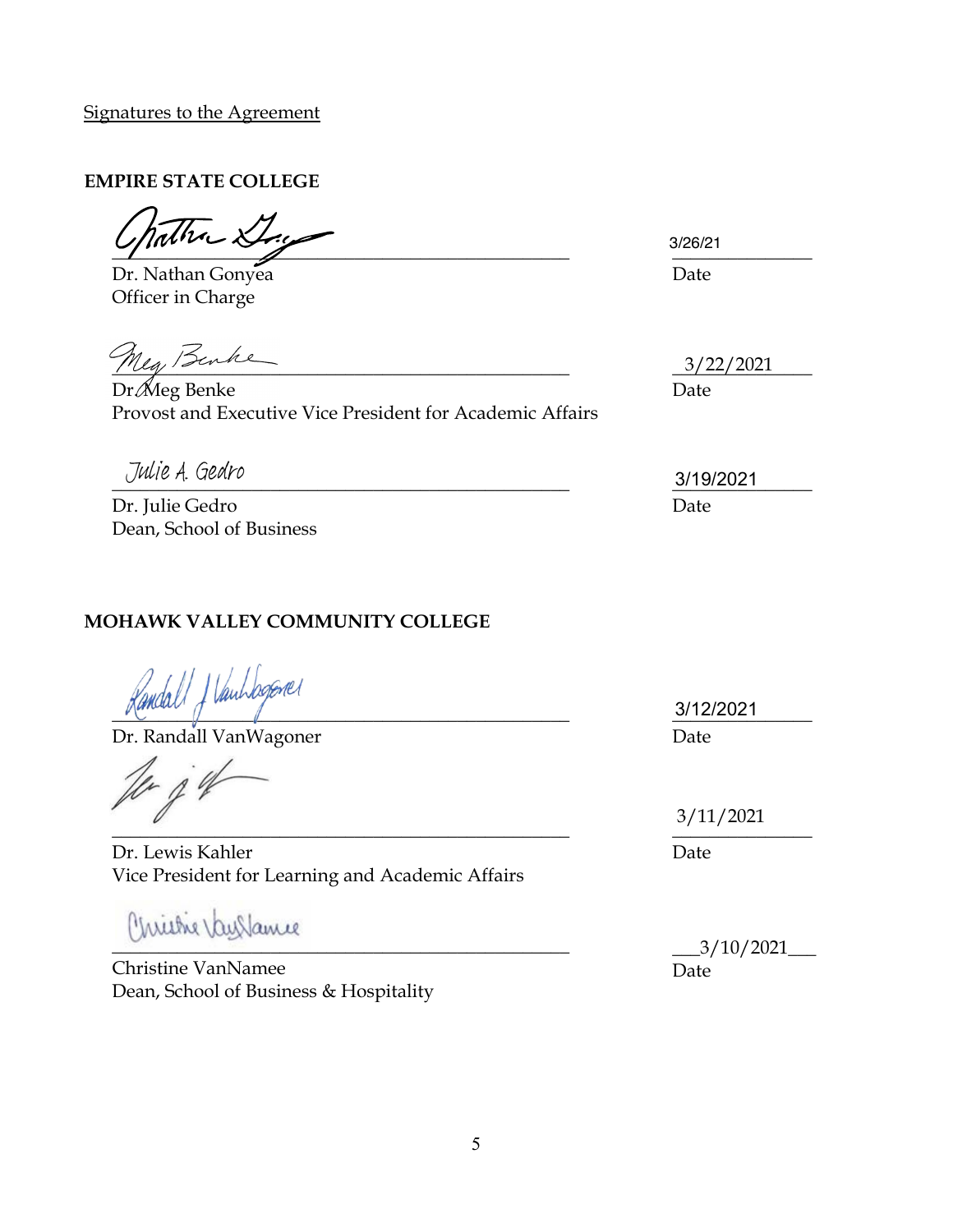Signatures to the Agreement

## **EMPIRE STATE COLLEGE**

 $\frac{3}{2}$ 

Dr. Nathan Gonyea Date Officer in Charge

Meg Benke

Dr. Meg Benke Date Provost and Executive Vice President for Academic Affairs

Dr. Julie Gedro Date Dean, School of Business

# **MOHAWK VALLEY COMMUNITY COLLEGE**

Vanhagemer  $\sqrt{1-\frac{1}{2}}$ 

Dr. Randall VanWagoner

President  $\mathcal{L}$ 

Dr. Lewis Kahler Vice President for Learning and Academic Affairs

 $\overline{a}$ 

Christine VanNamee Dean, School of Business & Hospitality 3/26/21

3/22/2021

 $\frac{3}{192021}$ 3/19/2021

> \_\_\_\_\_\_\_\_\_\_\_\_\_\_\_ 3/12/2021 Date

 $\frac{1}{2}$ 3/11/2021

Date

\_\_\_3/10/2021\_\_\_ Date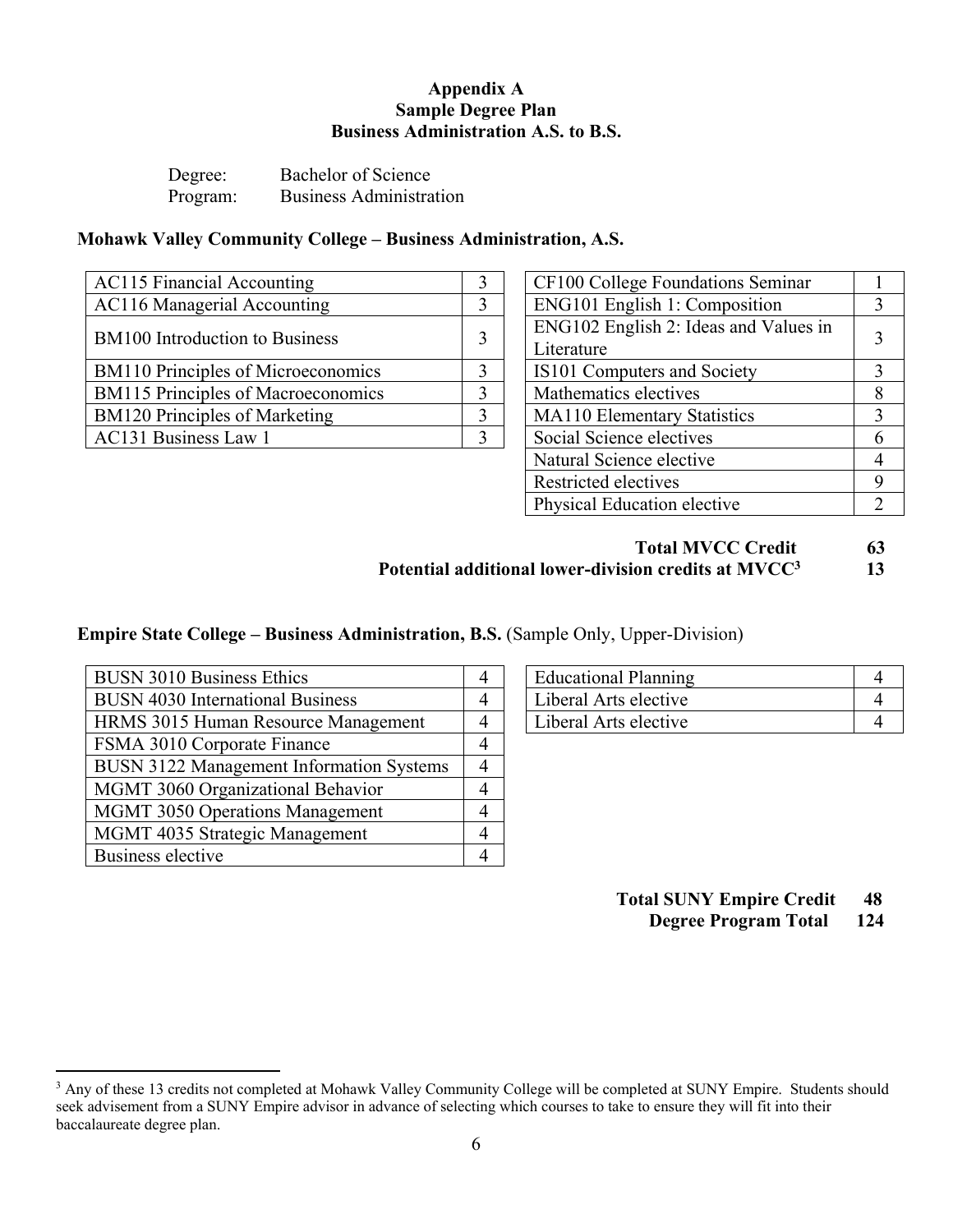#### **Appendix A Sample Degree Plan Business Administration A.S. to B.S.**

| Degree:  | Bachelor of Science            |
|----------|--------------------------------|
| Program: | <b>Business Administration</b> |

#### **Mohawk Valley Community College – Business Administration, A.S.**

| <b>AC115 Financial Accounting</b>         |  | CF100 College Foundations Seminar     |               |  |
|-------------------------------------------|--|---------------------------------------|---------------|--|
| AC116 Managerial Accounting               |  | ENG101 English 1: Composition         |               |  |
| <b>BM100</b> Introduction to Business     |  | ENG102 English 2: Ideas and Values in | $\mathcal{L}$ |  |
|                                           |  | Literature                            |               |  |
| <b>BM110</b> Principles of Microeconomics |  | IS101 Computers and Society           |               |  |
| <b>BM115</b> Principles of Macroeconomics |  | Mathematics electives                 | 8             |  |
| <b>BM120 Principles of Marketing</b>      |  | <b>MA110 Elementary Statistics</b>    |               |  |
| AC131 Business Law 1                      |  | Social Science electives              | -6            |  |
|                                           |  |                                       |               |  |

| CF100 College Foundations Seminar                   |   |
|-----------------------------------------------------|---|
| ENG101 English 1: Composition                       |   |
| ENG102 English 2: Ideas and Values in<br>Literature |   |
| IS101 Computers and Society                         | 3 |
| Mathematics electives                               |   |
| <b>MA110 Elementary Statistics</b>                  |   |
| Social Science electives                            |   |
| Natural Science elective                            |   |
| Restricted electives                                |   |
| Physical Education elective                         |   |

## **Total MVCC Credit 63** Potential additional lower-division credits at MVCC<sup>3</sup> 13

#### **Empire State College – Business Administration, B.S.** (Sample Only, Upper-Division)

| <b>BUSN 3010 Business Ethics</b>                | 4 | <b>Educational Planning</b> | $\overline{4}$ |
|-------------------------------------------------|---|-----------------------------|----------------|
| <b>BUSN 4030 International Business</b>         |   | Liberal Arts elective       | $\overline{4}$ |
| HRMS 3015 Human Resource Management             |   | Liberal Arts elective       | $\overline{4}$ |
| FSMA 3010 Corporate Finance                     |   |                             |                |
| <b>BUSN 3122 Management Information Systems</b> |   |                             |                |
| MGMT 3060 Organizational Behavior               |   |                             |                |
| <b>MGMT 3050 Operations Management</b>          |   |                             |                |
| MGMT 4035 Strategic Management                  |   |                             |                |
| Business elective                               |   |                             |                |

| <b>Educational Planning</b> |  |
|-----------------------------|--|
| Liberal Arts elective       |  |
| Liberal Arts elective       |  |

**Total SUNY Empire Credit 48**

**Degree Program Total 124**

<sup>&</sup>lt;sup>3</sup> Any of these 13 credits not completed at Mohawk Valley Community College will be completed at SUNY Empire. Students should seek advisement from a SUNY Empire advisor in advance of selecting which courses to take to ensure they will fit into their baccalaureate degree plan.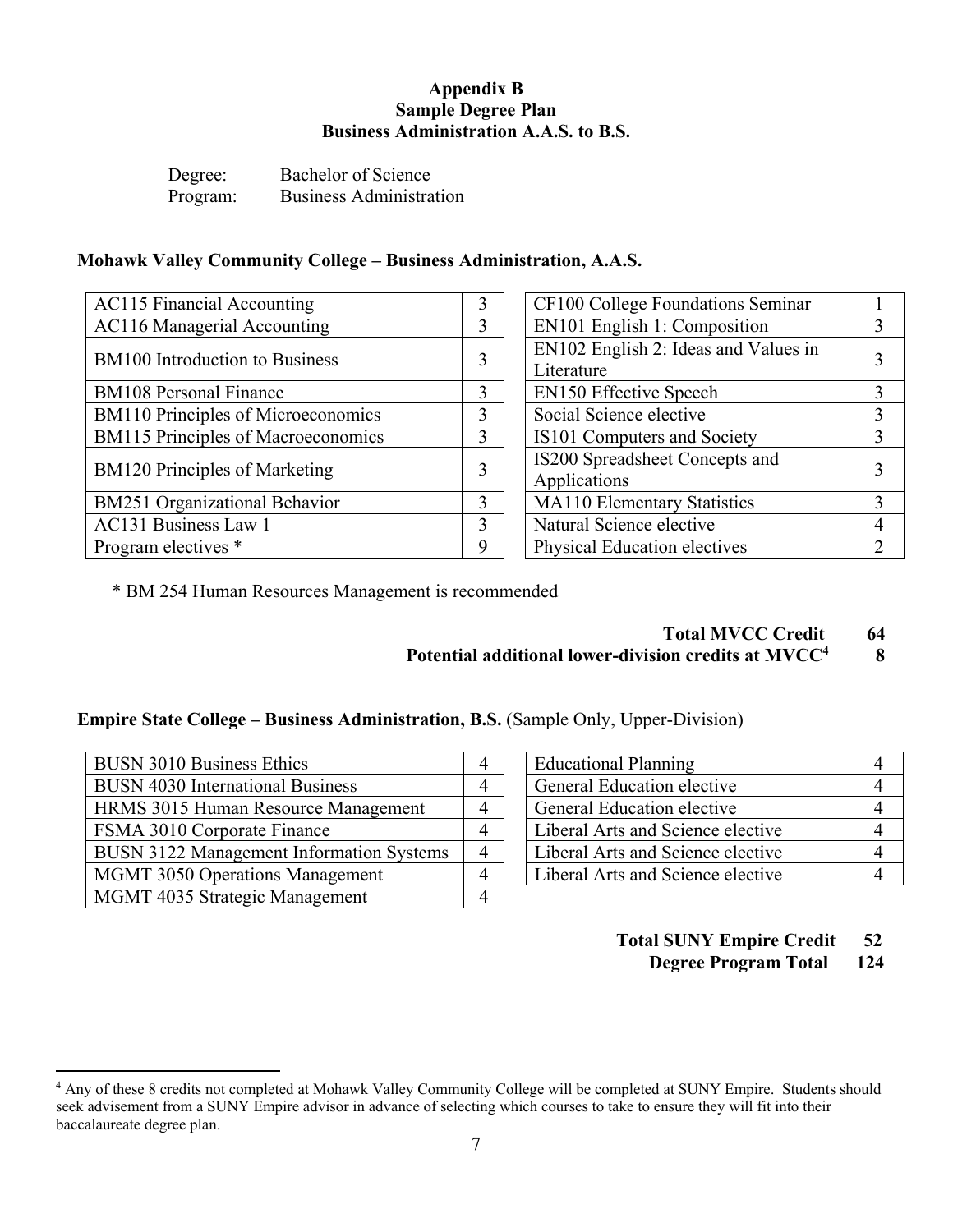#### **Appendix B Sample Degree Plan Business Administration A.A.S. to B.S.**

Degree: Bachelor of Science Program: Business Administration

#### **Mohawk Valley Community College – Business Administration, A.A.S.**

| <b>AC115 Financial Accounting</b>         | 3 | CF100 College Foundations Seminar                  |                |
|-------------------------------------------|---|----------------------------------------------------|----------------|
| <b>AC116 Managerial Accounting</b>        | 3 | EN101 English 1: Composition                       | 3              |
| <b>BM100</b> Introduction to Business     | 3 | EN102 English 2: Ideas and Values in<br>Literature | $\mathcal{E}$  |
| <b>BM108 Personal Finance</b>             |   | <b>EN150 Effective Speech</b>                      | $\mathcal{F}$  |
| <b>BM110</b> Principles of Microeconomics | 3 | Social Science elective                            | 3              |
| <b>BM115</b> Principles of Macroeconomics | 3 | IS101 Computers and Society                        | 3              |
| <b>BM120 Principles of Marketing</b>      | ኅ | IS200 Spreadsheet Concepts and<br>Applications     | $\mathcal{L}$  |
| <b>BM251 Organizational Behavior</b>      | 3 | <b>MA110 Elementary Statistics</b>                 | 3              |
| AC131 Business Law 1                      | 3 | Natural Science elective                           | 4              |
| Program electives *                       | 9 | <b>Physical Education electives</b>                | $\overline{2}$ |

| CF100 College Foundations Seminar    |   |  |
|--------------------------------------|---|--|
| EN101 English 1: Composition         |   |  |
| EN102 English 2: Ideas and Values in |   |  |
| Literature                           | 3 |  |
| <b>EN150 Effective Speech</b>        | 3 |  |
| Social Science elective              |   |  |
| IS101 Computers and Society          |   |  |
| IS200 Spreadsheet Concepts and       |   |  |
| Applications                         |   |  |
| MA110 Elementary Statistics          |   |  |
| Natural Science elective             |   |  |
| <b>Physical Education electives</b>  |   |  |

\* BM 254 Human Resources Management is recommended

 **Total MVCC Credit 64**

## **Potential additional lower-division credits at MVCC4 8**

#### **Empire State College – Business Administration, B.S.** (Sample Only, Upper-Division)

| <b>BUSN 3010 Business Ethics</b>                | <b>Educational Planning</b>       | $\overline{4}$ |
|-------------------------------------------------|-----------------------------------|----------------|
| <b>BUSN 4030 International Business</b>         | General Education elective        | $\overline{4}$ |
| HRMS 3015 Human Resource Management             | General Education elective        | $\overline{4}$ |
| FSMA 3010 Corporate Finance                     | Liberal Arts and Science elective | $\overline{4}$ |
| <b>BUSN 3122 Management Information Systems</b> | Liberal Arts and Science elective | $\overline{4}$ |
| <b>MGMT 3050 Operations Management</b>          | Liberal Arts and Science elective | $\overline{4}$ |
| MGMT 4035 Strategic Management                  |                                   |                |

| <b>Educational Planning</b>       |  |
|-----------------------------------|--|
| General Education elective        |  |
| General Education elective        |  |
| Liberal Arts and Science elective |  |
| Liberal Arts and Science elective |  |
| Liberal Arts and Science elective |  |

## **Total SUNY Empire Credit 52**

**Degree Program Total 124**

<sup>4</sup> Any of these 8 credits not completed at Mohawk Valley Community College will be completed at SUNY Empire. Students should seek advisement from a SUNY Empire advisor in advance of selecting which courses to take to ensure they will fit into their baccalaureate degree plan.